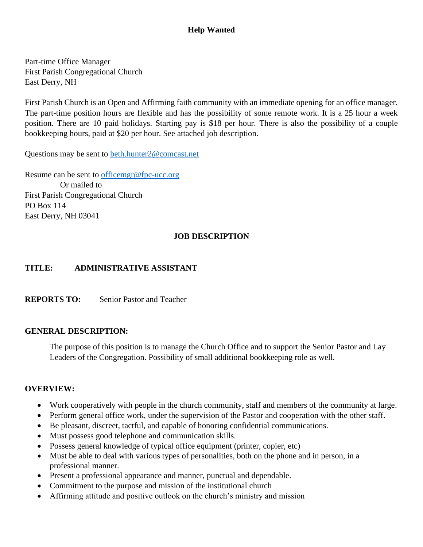# **Help Wanted**

Part-time Office Manager First Parish Congregational Church East Derry, NH

First Parish Church is an Open and Affirming faith community with an immediate opening for an office manager. The part-time position hours are flexible and has the possibility of some remote work. It is a 25 hour a week position. There are 10 paid holidays. Starting pay is \$18 per hour. There is also the possibility of a couple bookkeeping hours, paid at \$20 per hour. See attached job description.

Questions may be sent to [beth.hunter2@comcast.net](mailto:beth.hunter2@comcast.net)

Resume can be sent to [officemgr@fpc-ucc.org](mailto:officemgr@fpc-ucc.org) Or mailed to First Parish Congregational Church PO Box 114 East Derry, NH 03041

#### **JOB DESCRIPTION**

### **TITLE: ADMINISTRATIVE ASSISTANT**

**REPORTS TO:** Senior Pastor and Teacher

### **GENERAL DESCRIPTION:**

The purpose of this position is to manage the Church Office and to support the Senior Pastor and Lay Leaders of the Congregation. Possibility of small additional bookkeeping role as well.

### **OVERVIEW:**

- Work cooperatively with people in the church community, staff and members of the community at large.
- Perform general office work, under the supervision of the Pastor and cooperation with the other staff.
- Be pleasant, discreet, tactful, and capable of honoring confidential communications.
- Must possess good telephone and communication skills.
- Possess general knowledge of typical office equipment (printer, copier, etc)
- Must be able to deal with various types of personalities, both on the phone and in person, in a professional manner.
- Present a professional appearance and manner, punctual and dependable.
- Commitment to the purpose and mission of the institutional church
- Affirming attitude and positive outlook on the church's ministry and mission